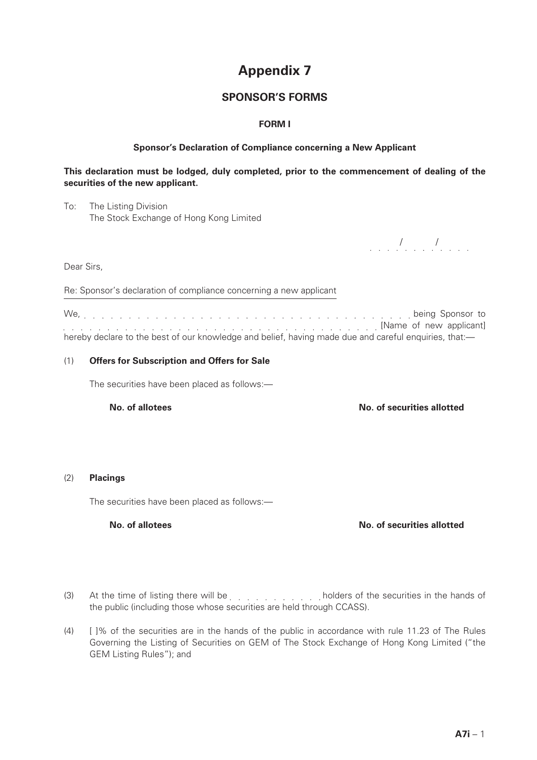# **Appendix 7**

# **SPONSOR'S FORMS**

## **FORM I**

### **Sponsor's Declaration of Compliance concerning a New Applicant**

### **This declaration must be lodged, duly completed, prior to the commencement of dealing of the securities of the new applicant.**

To: The Listing Division The Stock Exchange of Hong Kong Limited

*. . . . . . . . . . .* . . .

Dear Sirs,

Re: Sponsor's declaration of compliance concerning a new applicant

We, being Sponsor to **Example 20** IN applicant] **Contract Contract Contract Contract Contract Contract Contract Contract Contract Contract Contract Contract Contract Contract Contract Contract Contract Contract Contract Contract Contract Contr** hereby declare to the best of our knowledge and belief, having made due and careful enquiries, that:-

#### (1) **Offers for Subscription and Offers for Sale**

The securities have been placed as follows:—

**No. of allotees No. of securities allotted**

#### (2) **Placings**

The securities have been placed as follows:—

**No. of allotees No. of securities allotted**

- (3) At the time of listing there will be extract the securities in the hands of the public (including those whose securities are held through CCASS).
- (4) [ ]% of the securities are in the hands of the public in accordance with rule 11.23 of The Rules Governing the Listing of Securities on GEM of The Stock Exchange of Hong Kong Limited ("the GEM Listing Rules"); and